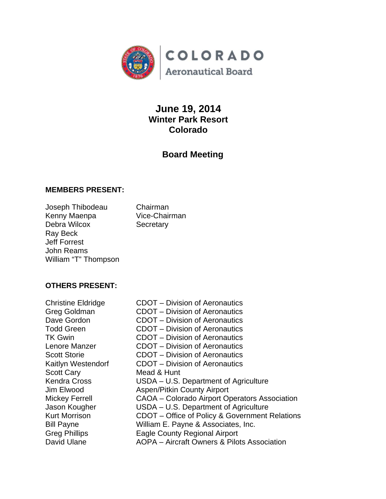

# **June 19, 2014 Winter Park Resort Colorado**

# **Board Meeting**

## **MEMBERS PRESENT:**

Joseph Thibodeau Chairman Kenny Maenpa Vice-Chairman Debra Wilcox Secretary Ray Beck Jeff Forrest John Reams William "T" Thompson

## **OTHERS PRESENT:**

Scott Cary Mead & Hunt

Christine Eldridge CDOT – Division of Aeronautics Greg Goldman CDOT – Division of Aeronautics Dave Gordon **CDOT** – Division of Aeronautics Todd Green CDOT – Division of Aeronautics TK Gwin CDOT – Division of Aeronautics Lenore Manzer CDOT – Division of Aeronautics Scott Storie CDOT – Division of Aeronautics Kaitlyn Westendorf CDOT – Division of Aeronautics Kendra Cross USDA – U.S. Department of Agriculture Jim Elwood Aspen/Pitkin County Airport Mickey Ferrell CAOA – Colorado Airport Operators Association Jason Kougher **USDA** – U.S. Department of Agriculture Kurt Morrison CDOT – Office of Policy & Government Relations Bill Payne William E. Payne & Associates, Inc. Greg Phillips Eagle County Regional Airport David Ulane **AOPA** – Aircraft Owners & Pilots Association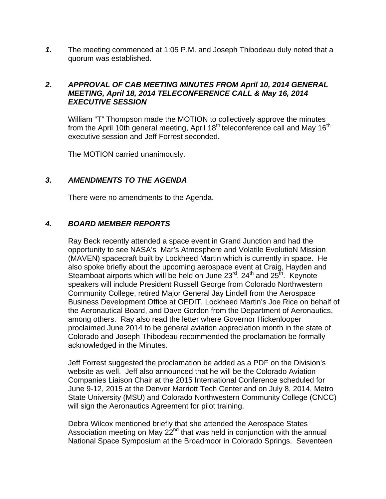*1.* The meeting commenced at 1:05 P.M. and Joseph Thibodeau duly noted that a quorum was established.

## *2. APPROVAL OF CAB MEETING MINUTES FROM April 10, 2014 GENERAL MEETING, April 18, 2014 TELECONFERENCE CALL & May 16, 2014 EXECUTIVE SESSION*

William "T" Thompson made the MOTION to collectively approve the minutes from the April 10th general meeting, April  $18<sup>th</sup>$  teleconference call and May  $16<sup>th</sup>$ executive session and Jeff Forrest seconded.

The MOTION carried unanimously.

## *3. AMENDMENTS TO THE AGENDA*

There were no amendments to the Agenda.

## *4. BOARD MEMBER REPORTS*

Ray Beck recently attended a space event in Grand Junction and had the opportunity to see NASA's Mar's Atmosphere and Volatile EvolutioN Mission (MAVEN) spacecraft built by Lockheed Martin which is currently in space. He also spoke briefly about the upcoming aerospace event at Craig, Hayden and Steamboat airports which will be held on June 23<sup>rd</sup>, 24<sup>th</sup> and 25<sup>th</sup>. Keynote speakers will include President Russell George from Colorado Northwestern Community College, retired Major General Jay Lindell from the Aerospace Business Development Office at OEDIT, Lockheed Martin's Joe Rice on behalf of the Aeronautical Board, and Dave Gordon from the Department of Aeronautics, among others. Ray also read the letter where Governor Hickenlooper proclaimed June 2014 to be general aviation appreciation month in the state of Colorado and Joseph Thibodeau recommended the proclamation be formally acknowledged in the Minutes.

Jeff Forrest suggested the proclamation be added as a PDF on the Division's website as well. Jeff also announced that he will be the Colorado Aviation Companies Liaison Chair at the 2015 International Conference scheduled for June 9-12, 2015 at the Denver Marriott Tech Center and on July 8, 2014, Metro State University (MSU) and Colorado Northwestern Community College (CNCC) will sign the Aeronautics Agreement for pilot training.

Debra Wilcox mentioned briefly that she attended the Aerospace States Association meeting on May  $22<sup>nd</sup>$  that was held in conjunction with the annual National Space Symposium at the Broadmoor in Colorado Springs. Seventeen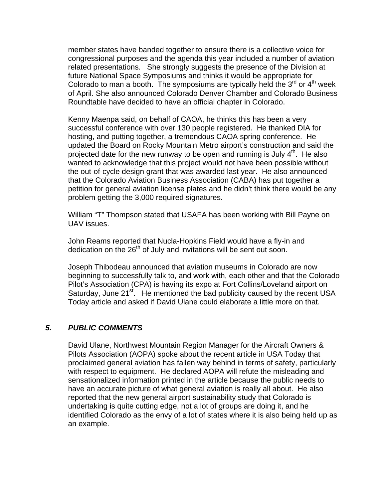member states have banded together to ensure there is a collective voice for congressional purposes and the agenda this year included a number of aviation related presentations. She strongly suggests the presence of the Division at future National Space Symposiums and thinks it would be appropriate for Colorado to man a booth. The symposiums are typically held the  $3<sup>rd</sup>$  or  $4<sup>th</sup>$  week of April. She also announced Colorado Denver Chamber and Colorado Business Roundtable have decided to have an official chapter in Colorado.

Kenny Maenpa said, on behalf of CAOA, he thinks this has been a very successful conference with over 130 people registered. He thanked DIA for hosting, and putting together, a tremendous CAOA spring conference. He updated the Board on Rocky Mountain Metro airport's construction and said the projected date for the new runway to be open and running is July  $4<sup>th</sup>$ . He also wanted to acknowledge that this project would not have been possible without the out-of-cycle design grant that was awarded last year. He also announced that the Colorado Aviation Business Association (CABA) has put together a petition for general aviation license plates and he didn't think there would be any problem getting the 3,000 required signatures.

William "T" Thompson stated that USAFA has been working with Bill Payne on UAV issues.

John Reams reported that Nucla-Hopkins Field would have a fly-in and dedication on the  $26<sup>th</sup>$  of July and invitations will be sent out soon.

Joseph Thibodeau announced that aviation museums in Colorado are now beginning to successfully talk to, and work with, each other and that the Colorado Pilot's Association (CPA) is having its expo at Fort Collins/Loveland airport on Saturday, June 21<sup>st</sup>. He mentioned the bad publicity caused by the recent USA Today article and asked if David Ulane could elaborate a little more on that.

#### *5. PUBLIC COMMENTS*

David Ulane, Northwest Mountain Region Manager for the Aircraft Owners & Pilots Association (AOPA) spoke about the recent article in USA Today that proclaimed general aviation has fallen way behind in terms of safety, particularly with respect to equipment. He declared AOPA will refute the misleading and sensationalized information printed in the article because the public needs to have an accurate picture of what general aviation is really all about. He also reported that the new general airport sustainability study that Colorado is undertaking is quite cutting edge, not a lot of groups are doing it, and he identified Colorado as the envy of a lot of states where it is also being held up as an example.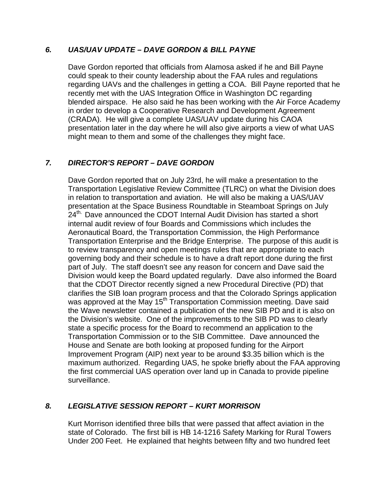## *6. UAS/UAV UPDATE – DAVE GORDON & BILL PAYNE*

Dave Gordon reported that officials from Alamosa asked if he and Bill Payne could speak to their county leadership about the FAA rules and regulations regarding UAVs and the challenges in getting a COA. Bill Payne reported that he recently met with the UAS Integration Office in Washington DC regarding blended airspace. He also said he has been working with the Air Force Academy in order to develop a Cooperative Research and Development Agreement (CRADA). He will give a complete UAS/UAV update during his CAOA presentation later in the day where he will also give airports a view of what UAS might mean to them and some of the challenges they might face.

# *7. DIRECTOR'S REPORT – DAVE GORDON*

Dave Gordon reported that on July 23rd, he will make a presentation to the Transportation Legislative Review Committee (TLRC) on what the Division does in relation to transportation and aviation. He will also be making a UAS/UAV presentation at the Space Business Roundtable in Steamboat Springs on July 24<sup>th.</sup> Dave announced the CDOT Internal Audit Division has started a short internal audit review of four Boards and Commissions which includes the Aeronautical Board, the Transportation Commission, the High Performance Transportation Enterprise and the Bridge Enterprise. The purpose of this audit is to review transparency and open meetings rules that are appropriate to each governing body and their schedule is to have a draft report done during the first part of July. The staff doesn't see any reason for concern and Dave said the Division would keep the Board updated regularly. Dave also informed the Board that the CDOT Director recently signed a new Procedural Directive (PD) that clarifies the SIB loan program process and that the Colorado Springs application was approved at the May 15<sup>th</sup> Transportation Commission meeting. Dave said the Wave newsletter contained a publication of the new SIB PD and it is also on the Division's website. One of the improvements to the SIB PD was to clearly state a specific process for the Board to recommend an application to the Transportation Commission or to the SIB Committee. Dave announced the House and Senate are both looking at proposed funding for the Airport Improvement Program (AIP) next year to be around \$3.35 billion which is the maximum authorized. Regarding UAS, he spoke briefly about the FAA approving the first commercial UAS operation over land up in Canada to provide pipeline surveillance.

#### *8. LEGISLATIVE SESSION REPORT – KURT MORRISON*

Kurt Morrison identified three bills that were passed that affect aviation in the state of Colorado. The first bill is HB 14-1216 Safety Marking for Rural Towers Under 200 Feet. He explained that heights between fifty and two hundred feet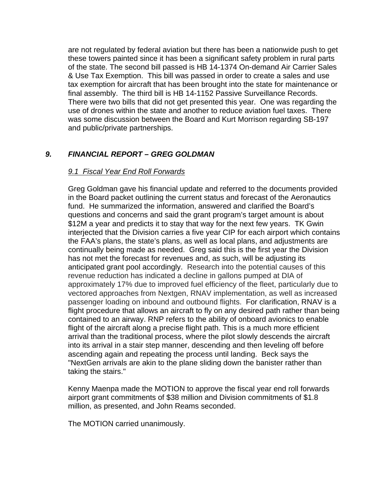are not regulated by federal aviation but there has been a nationwide push to get these towers painted since it has been a significant safety problem in rural parts of the state. The second bill passed is HB 14-1374 On-demand Air Carrier Sales & Use Tax Exemption. This bill was passed in order to create a sales and use tax exemption for aircraft that has been brought into the state for maintenance or final assembly. The third bill is HB 14-1152 Passive Surveillance Records. There were two bills that did not get presented this year. One was regarding the use of drones within the state and another to reduce aviation fuel taxes. There was some discussion between the Board and Kurt Morrison regarding SB-197 and public/private partnerships.

# *9. FINANCIAL REPORT – GREG GOLDMAN*

## *9.1 Fiscal Year End Roll Forwards*

Greg Goldman gave his financial update and referred to the documents provided in the Board packet outlining the current status and forecast of the Aeronautics fund. He summarized the information, answered and clarified the Board's questions and concerns and said the grant program's target amount is about \$12M a year and predicts it to stay that way for the next few years. TK Gwin interjected that the Division carries a five year CIP for each airport which contains the FAA's plans, the state's plans, as well as local plans, and adjustments are continually being made as needed. Greg said this is the first year the Division has not met the forecast for revenues and, as such, will be adjusting its anticipated grant pool accordingly. Research into the potential causes of this revenue reduction has indicated a decline in gallons pumped at DIA of approximately 17% due to improved fuel efficiency of the fleet, particularly due to vectored approaches from Nextgen, RNAV implementation, as well as increased passenger loading on inbound and outbound flights. For clarification, RNAV is a flight procedure that allows an aircraft to fly on any desired path rather than being contained to an airway. RNP refers to the ability of onboard avionics to enable flight of the aircraft along a precise flight path. This is a much more efficient arrival than the traditional process, where the pilot slowly descends the aircraft into its arrival in a stair step manner, descending and then leveling off before ascending again and repeating the process until landing. Beck says the "NextGen arrivals are akin to the plane sliding down the banister rather than taking the stairs."

Kenny Maenpa made the MOTION to approve the fiscal year end roll forwards airport grant commitments of \$38 million and Division commitments of \$1.8 million, as presented, and John Reams seconded.

The MOTION carried unanimously.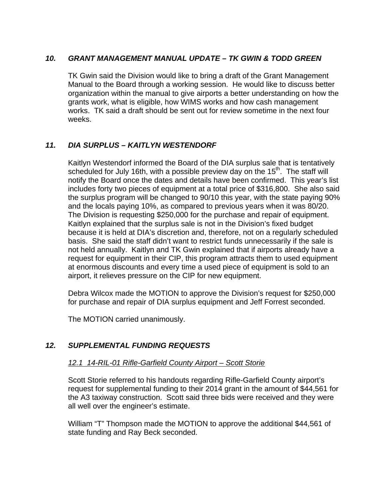## *10. GRANT MANAGEMENT MANUAL UPDATE – TK GWIN & TODD GREEN*

TK Gwin said the Division would like to bring a draft of the Grant Management Manual to the Board through a working session. He would like to discuss better organization within the manual to give airports a better understanding on how the grants work, what is eligible, how WIMS works and how cash management works. TK said a draft should be sent out for review sometime in the next four weeks.

# *11. DIA SURPLUS – KAITLYN WESTENDORF*

Kaitlyn Westendorf informed the Board of the DIA surplus sale that is tentatively scheduled for July 16th, with a possible preview day on the  $15<sup>th</sup>$ . The staff will notify the Board once the dates and details have been confirmed. This year's list includes forty two pieces of equipment at a total price of \$316,800. She also said the surplus program will be changed to 90/10 this year, with the state paying 90% and the locals paying 10%, as compared to previous years when it was 80/20. The Division is requesting \$250,000 for the purchase and repair of equipment. Kaitlyn explained that the surplus sale is not in the Division's fixed budget because it is held at DIA's discretion and, therefore, not on a regularly scheduled basis. She said the staff didn't want to restrict funds unnecessarily if the sale is not held annually. Kaitlyn and TK Gwin explained that if airports already have a request for equipment in their CIP, this program attracts them to used equipment at enormous discounts and every time a used piece of equipment is sold to an airport, it relieves pressure on the CIP for new equipment.

Debra Wilcox made the MOTION to approve the Division's request for \$250,000 for purchase and repair of DIA surplus equipment and Jeff Forrest seconded.

The MOTION carried unanimously.

# *12. SUPPLEMENTAL FUNDING REQUESTS*

#### *12.1 14-RIL-01 Rifle-Garfield County Airport – Scott Storie*

Scott Storie referred to his handouts regarding Rifle-Garfield County airport's request for supplemental funding to their 2014 grant in the amount of \$44,561 for the A3 taxiway construction. Scott said three bids were received and they were all well over the engineer's estimate.

William "T" Thompson made the MOTION to approve the additional \$44,561 of state funding and Ray Beck seconded.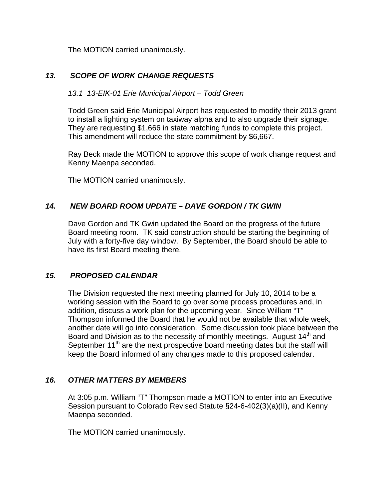The MOTION carried unanimously.

# *13. SCOPE OF WORK CHANGE REQUESTS*

## *13.1 13-EIK-01 Erie Municipal Airport – Todd Green*

Todd Green said Erie Municipal Airport has requested to modify their 2013 grant to install a lighting system on taxiway alpha and to also upgrade their signage. They are requesting \$1,666 in state matching funds to complete this project. This amendment will reduce the state commitment by \$6,667.

Ray Beck made the MOTION to approve this scope of work change request and Kenny Maenpa seconded.

The MOTION carried unanimously.

## *14. NEW BOARD ROOM UPDATE – DAVE GORDON / TK GWIN*

Dave Gordon and TK Gwin updated the Board on the progress of the future Board meeting room. TK said construction should be starting the beginning of July with a forty-five day window. By September, the Board should be able to have its first Board meeting there.

#### *15. PROPOSED CALENDAR*

The Division requested the next meeting planned for July 10, 2014 to be a working session with the Board to go over some process procedures and, in addition, discuss a work plan for the upcoming year. Since William "T" Thompson informed the Board that he would not be available that whole week, another date will go into consideration. Some discussion took place between the Board and Division as to the necessity of monthly meetings. August  $14<sup>th</sup>$  and September 11<sup>th</sup> are the next prospective board meeting dates but the staff will keep the Board informed of any changes made to this proposed calendar.

#### *16. OTHER MATTERS BY MEMBERS*

At 3:05 p.m. William "T" Thompson made a MOTION to enter into an Executive Session pursuant to Colorado Revised Statute §24-6-402(3)(a)(II), and Kenny Maenpa seconded.

The MOTION carried unanimously.